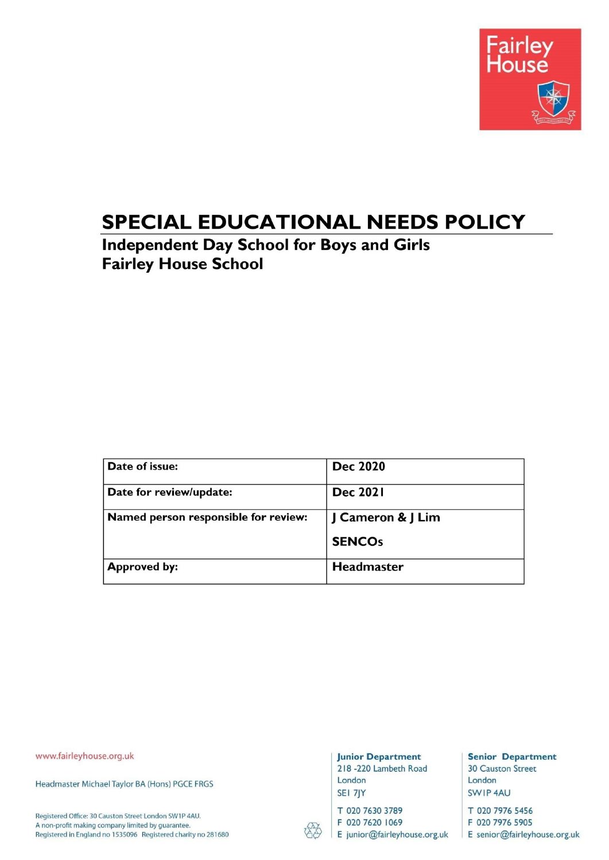

# SPECIAL EDUCATIONAL NEEDS POLICY

**Independent Day School for Boys and Girls Fairley House School** 

| Date of issue:                       | <b>Dec 2020</b>   |
|--------------------------------------|-------------------|
| Date for review/update:              | <b>Dec 2021</b>   |
| Named person responsible for review: | J Cameron & J Lim |
|                                      | <b>SENCOs</b>     |
| <b>Approved by:</b>                  | Headmaster        |

www.fairleyhouse.org.uk

Headmaster Michael Taylor BA (Hons) PGCE FRGS

Registered Office: 30 Causton Street London SW1P 4AU. A non-profit making company limited by guarantee. Registered in England no 1535096 Registered charity no 281680

#### **Junior Department** 218 -220 Lambeth Road

London SEI 7JY

T 020 7630 3789

F 020 7620 1069

E junior@fairleyhouse.org.uk

**Senior Department 30 Causton Street** London SWIP 4AU

T 020 7976 5456 F 020 7976 5905

E senior@fairleyhouse.org.uk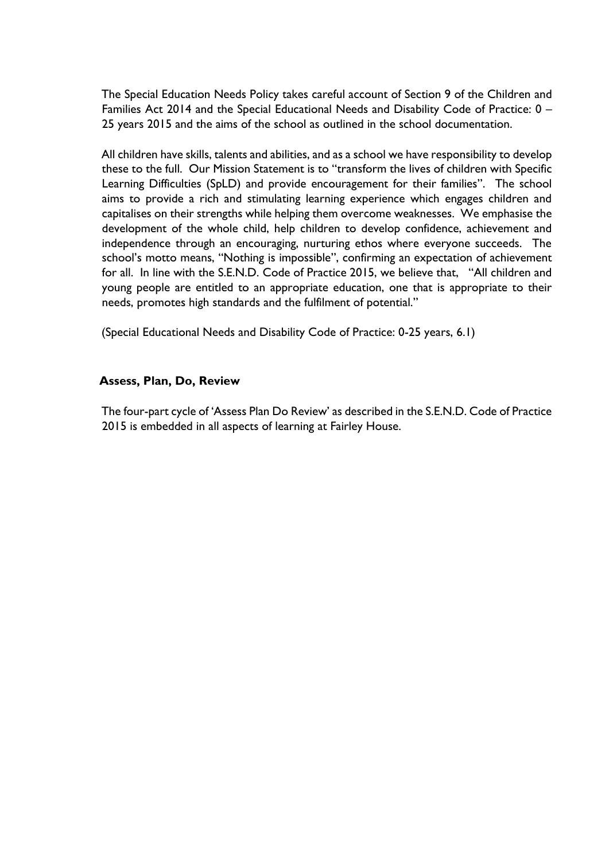The Special Education Needs Policy takes careful account of Section 9 of the Children and Families Act 2014 and the Special Educational Needs and Disability Code of Practice: 0 – 25 years 2015 and the aims of the school as outlined in the school documentation.

All children have skills, talents and abilities, and as a school we have responsibility to develop these to the full. Our Mission Statement is to "transform the lives of children with Specific Learning Difficulties (SpLD) and provide encouragement for their families". The school aims to provide a rich and stimulating learning experience which engages children and capitalises on their strengths while helping them overcome weaknesses. We emphasise the development of the whole child, help children to develop confidence, achievement and independence through an encouraging, nurturing ethos where everyone succeeds. The school's motto means, "Nothing is impossible", confirming an expectation of achievement for all. In line with the S.E.N.D. Code of Practice 2015, we believe that, "All children and young people are entitled to an appropriate education, one that is appropriate to their needs, promotes high standards and the fulfilment of potential."

(Special Educational Needs and Disability Code of Practice: 0-25 years, 6.1)

#### **Assess, Plan, Do, Review**

The four-part cycle of 'Assess Plan Do Review' as described in the S.E.N.D. Code of Practice 2015 is embedded in all aspects of learning at Fairley House.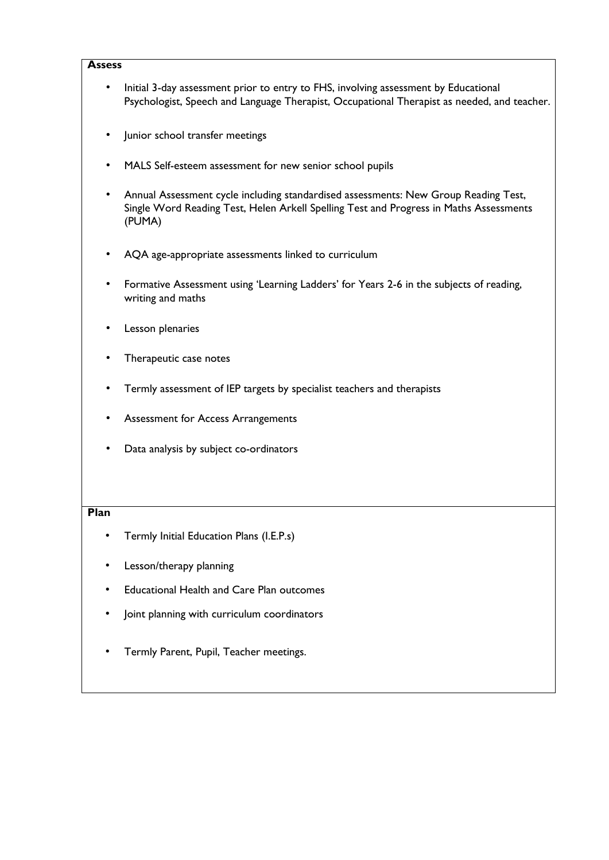#### **Assess**

- Initial 3-day assessment prior to entry to FHS, involving assessment by Educational Psychologist, Speech and Language Therapist, Occupational Therapist as needed, and teacher.
- Junior school transfer meetings
- MALS Self-esteem assessment for new senior school pupils
- Annual Assessment cycle including standardised assessments: New Group Reading Test, Single Word Reading Test, Helen Arkell Spelling Test and Progress in Maths Assessments (PUMA)
- AQA age-appropriate assessments linked to curriculum
- Formative Assessment using 'Learning Ladders' for Years 2-6 in the subjects of reading, writing and maths
- Lesson plenaries
- Therapeutic case notes
- Termly assessment of IEP targets by specialist teachers and therapists
- Assessment for Access Arrangements
- Data analysis by subject co-ordinators

#### **Plan**

- Termly Initial Education Plans (I.E.P.s)
- Lesson/therapy planning
- Educational Health and Care Plan outcomes
- Joint planning with curriculum coordinators
- Termly Parent, Pupil, Teacher meetings.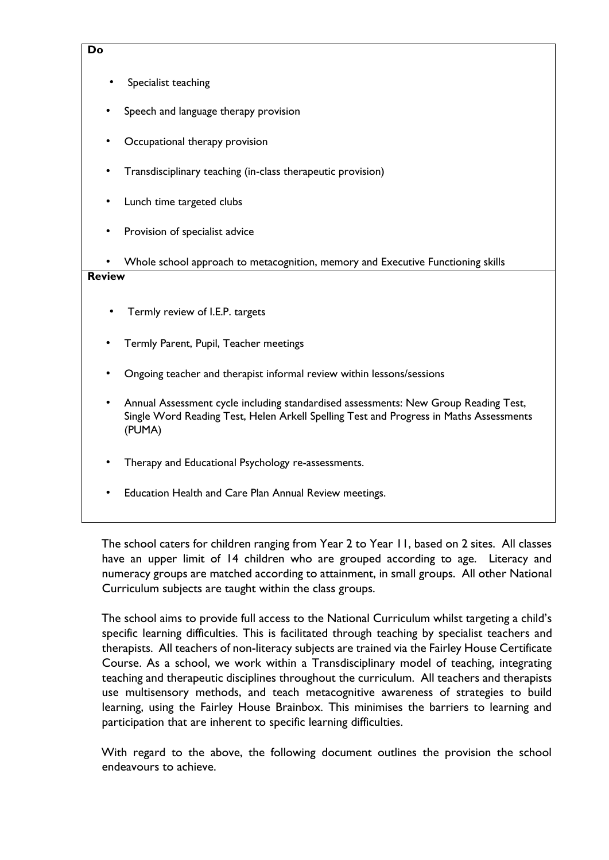#### **Do**

- Specialist teaching
- Speech and language therapy provision
- Occupational therapy provision
- Transdisciplinary teaching (in-class therapeutic provision)
- Lunch time targeted clubs
- Provision of specialist advice
- Whole school approach to metacognition, memory and Executive Functioning skills

#### **Review**

- Termly review of I.E.P. targets
- Termly Parent, Pupil, Teacher meetings
- Ongoing teacher and therapist informal review within lessons/sessions
- Annual Assessment cycle including standardised assessments: New Group Reading Test, Single Word Reading Test, Helen Arkell Spelling Test and Progress in Maths Assessments (PUMA)
- Therapy and Educational Psychology re-assessments.
- Education Health and Care Plan Annual Review meetings.

The school caters for children ranging from Year 2 to Year 11, based on 2 sites. All classes have an upper limit of 14 children who are grouped according to age. Literacy and numeracy groups are matched according to attainment, in small groups. All other National Curriculum subjects are taught within the class groups.

The school aims to provide full access to the National Curriculum whilst targeting a child's specific learning difficulties. This is facilitated through teaching by specialist teachers and therapists. All teachers of non-literacy subjects are trained via the Fairley House Certificate Course. As a school, we work within a Transdisciplinary model of teaching, integrating teaching and therapeutic disciplines throughout the curriculum. All teachers and therapists use multisensory methods, and teach metacognitive awareness of strategies to build learning, using the Fairley House Brainbox. This minimises the barriers to learning and participation that are inherent to specific learning difficulties.

With regard to the above, the following document outlines the provision the school endeavours to achieve.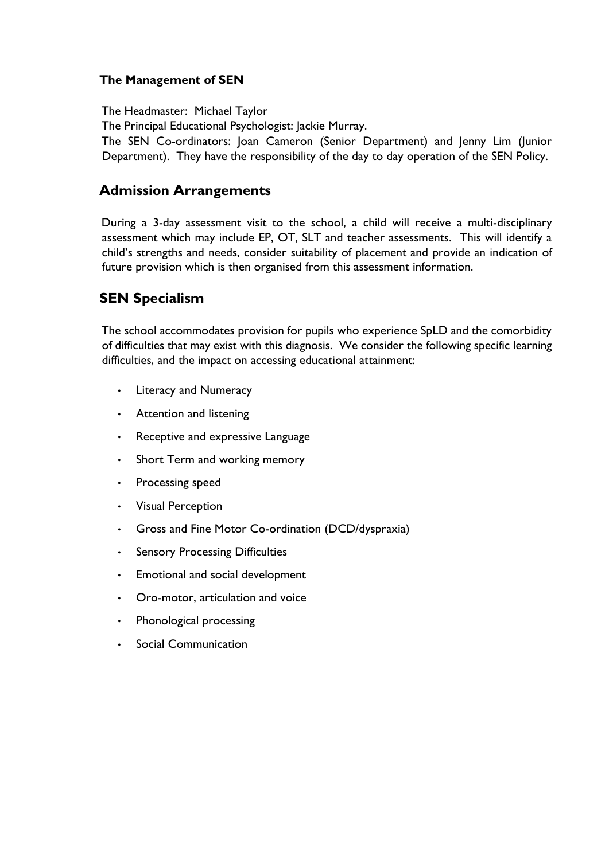#### **The Management of SEN**

The Headmaster: Michael Taylor The Principal Educational Psychologist: Jackie Murray. The SEN Co-ordinators: Joan Cameron (Senior Department) and Jenny Lim (Junior Department). They have the responsibility of the day to day operation of the SEN Policy.

### **Admission Arrangements**

During a 3-day assessment visit to the school, a child will receive a multi-disciplinary assessment which may include EP, OT, SLT and teacher assessments. This will identify a child's strengths and needs, consider suitability of placement and provide an indication of future provision which is then organised from this assessment information.

### **SEN Specialism**

The school accommodates provision for pupils who experience SpLD and the comorbidity of difficulties that may exist with this diagnosis. We consider the following specific learning difficulties, and the impact on accessing educational attainment:

- Literacy and Numeracy
- Attention and listening
- Receptive and expressive Language
- Short Term and working memory
- Processing speed
- Visual Perception
- Gross and Fine Motor Co-ordination (DCD/dyspraxia)
- Sensory Processing Difficulties
- Emotional and social development
- Oro-motor, articulation and voice
- Phonological processing
- Social Communication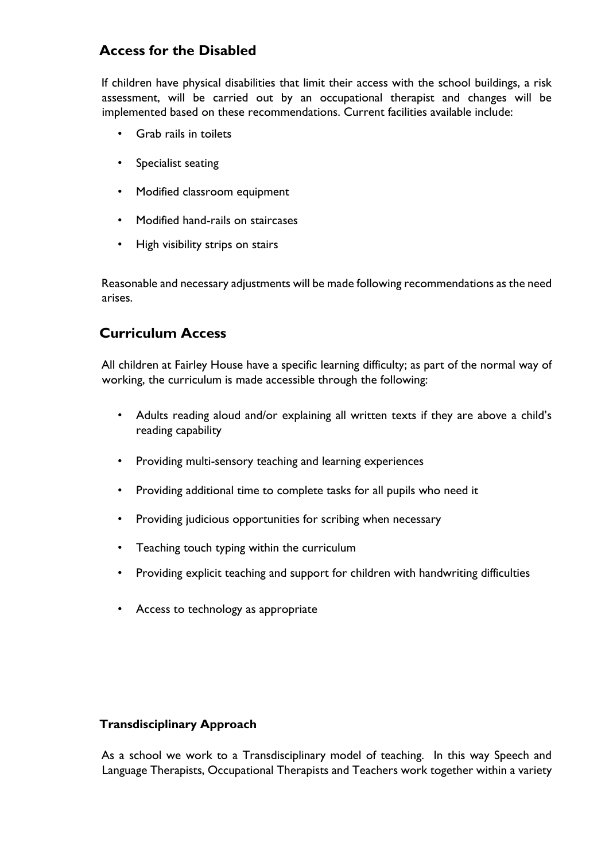## **Access for the Disabled**

If children have physical disabilities that limit their access with the school buildings, a risk assessment, will be carried out by an occupational therapist and changes will be implemented based on these recommendations. Current facilities available include:

- Grab rails in toilets
- Specialist seating
- Modified classroom equipment
- Modified hand-rails on staircases
- High visibility strips on stairs

Reasonable and necessary adjustments will be made following recommendations as the need arises.

### **Curriculum Access**

All children at Fairley House have a specific learning difficulty; as part of the normal way of working, the curriculum is made accessible through the following:

- Adults reading aloud and/or explaining all written texts if they are above a child's reading capability
- Providing multi-sensory teaching and learning experiences
- Providing additional time to complete tasks for all pupils who need it
- Providing judicious opportunities for scribing when necessary
- Teaching touch typing within the curriculum
- Providing explicit teaching and support for children with handwriting difficulties
- Access to technology as appropriate

#### **Transdisciplinary Approach**

As a school we work to a Transdisciplinary model of teaching. In this way Speech and Language Therapists, Occupational Therapists and Teachers work together within a variety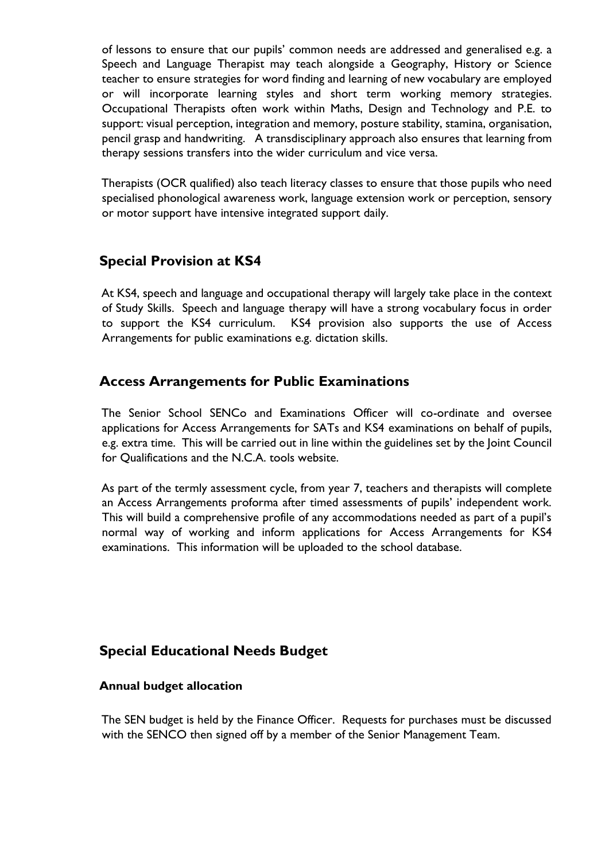of lessons to ensure that our pupils' common needs are addressed and generalised e.g. a Speech and Language Therapist may teach alongside a Geography, History or Science teacher to ensure strategies for word finding and learning of new vocabulary are employed or will incorporate learning styles and short term working memory strategies. Occupational Therapists often work within Maths, Design and Technology and P.E. to support: visual perception, integration and memory, posture stability, stamina, organisation, pencil grasp and handwriting. A transdisciplinary approach also ensures that learning from therapy sessions transfers into the wider curriculum and vice versa.

Therapists (OCR qualified) also teach literacy classes to ensure that those pupils who need specialised phonological awareness work, language extension work or perception, sensory or motor support have intensive integrated support daily.

### **Special Provision at KS4**

At KS4, speech and language and occupational therapy will largely take place in the context of Study Skills. Speech and language therapy will have a strong vocabulary focus in order to support the KS4 curriculum. KS4 provision also supports the use of Access Arrangements for public examinations e.g. dictation skills.

### **Access Arrangements for Public Examinations**

The Senior School SENCo and Examinations Officer will co-ordinate and oversee applications for Access Arrangements for SATs and KS4 examinations on behalf of pupils, e.g. extra time. This will be carried out in line within the guidelines set by the Joint Council for Qualifications and the N.C.A. tools website.

As part of the termly assessment cycle, from year 7, teachers and therapists will complete an Access Arrangements proforma after timed assessments of pupils' independent work. This will build a comprehensive profile of any accommodations needed as part of a pupil's normal way of working and inform applications for Access Arrangements for KS4 examinations. This information will be uploaded to the school database.

### **Special Educational Needs Budget**

#### **Annual budget allocation**

The SEN budget is held by the Finance Officer. Requests for purchases must be discussed with the SENCO then signed off by a member of the Senior Management Team.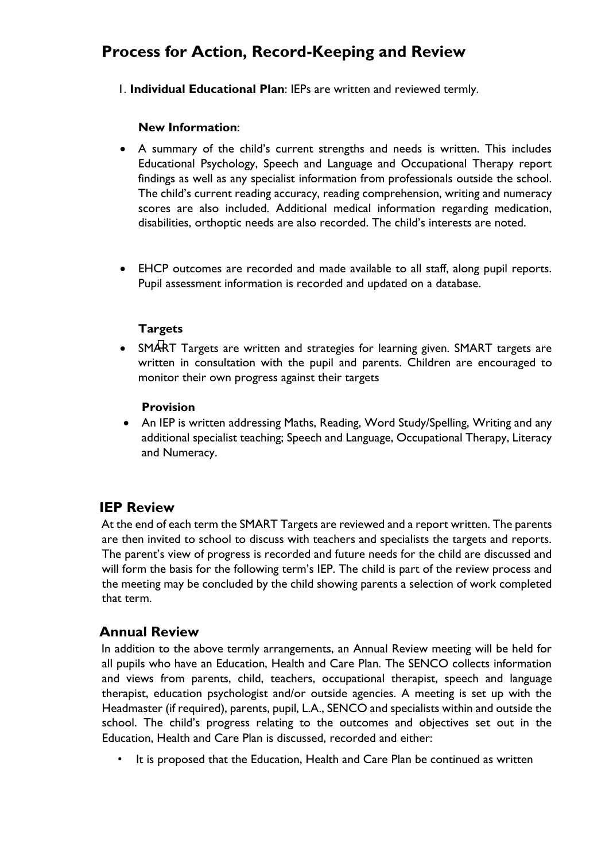# **Process for Action, Record-Keeping and Review**

1. **Individual Educational Plan**: IEPs are written and reviewed termly.

#### **New Information**:

- A summary of the child's current strengths and needs is written. This includes Educational Psychology, Speech and Language and Occupational Therapy report findings as well as any specialist information from professionals outside the school. The child's current reading accuracy, reading comprehension, writing and numeracy scores are also included. Additional medical information regarding medication, disabilities, orthoptic needs are also recorded. The child's interests are noted.
- EHCP outcomes are recorded and made available to all staff, along pupil reports. Pupil assessment information is recorded and updated on a database.

### **Targets**

• SMART Targets are written and strategies for learning given. SMART targets are written in consultation with the pupil and parents. Children are encouraged to monitor their own progress against their targets

#### **Provision**

 An IEP is written addressing Maths, Reading, Word Study/Spelling, Writing and any additional specialist teaching; Speech and Language, Occupational Therapy, Literacy and Numeracy.

### **IEP Review**

At the end of each term the SMART Targets are reviewed and a report written. The parents are then invited to school to discuss with teachers and specialists the targets and reports. The parent's view of progress is recorded and future needs for the child are discussed and will form the basis for the following term's IEP. The child is part of the review process and the meeting may be concluded by the child showing parents a selection of work completed that term.

### **Annual Review**

In addition to the above termly arrangements, an Annual Review meeting will be held for all pupils who have an Education, Health and Care Plan. The SENCO collects information and views from parents, child, teachers, occupational therapist, speech and language therapist, education psychologist and/or outside agencies. A meeting is set up with the Headmaster (if required), parents, pupil, L.A., SENCO and specialists within and outside the school. The child's progress relating to the outcomes and objectives set out in the Education, Health and Care Plan is discussed, recorded and either:

It is proposed that the Education, Health and Care Plan be continued as written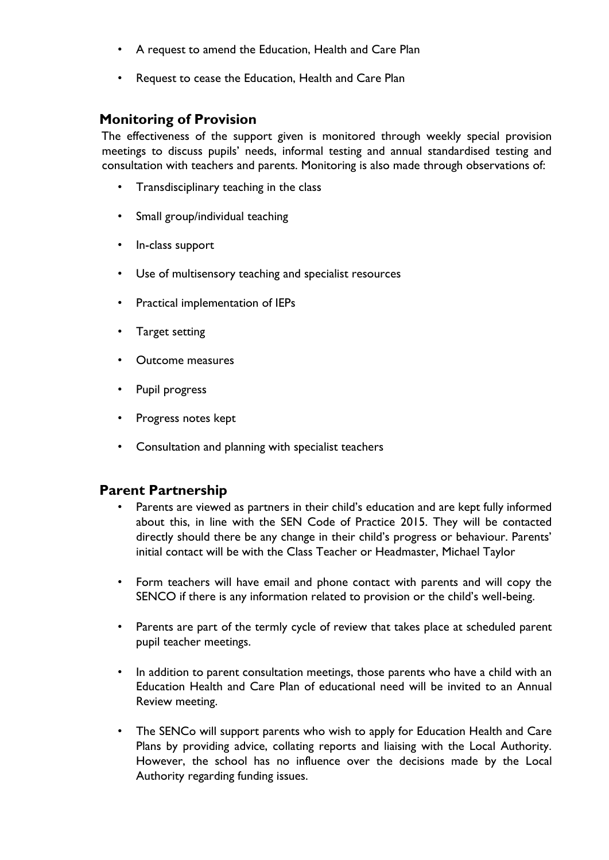- A request to amend the Education, Health and Care Plan
- Request to cease the Education, Health and Care Plan

### **Monitoring of Provision**

The effectiveness of the support given is monitored through weekly special provision meetings to discuss pupils' needs, informal testing and annual standardised testing and consultation with teachers and parents. Monitoring is also made through observations of:

- Transdisciplinary teaching in the class
- Small group/individual teaching
- In-class support
- Use of multisensory teaching and specialist resources
- Practical implementation of IEPs
- Target setting
- Outcome measures
- Pupil progress
- Progress notes kept
- Consultation and planning with specialist teachers

### **Parent Partnership**

- Parents are viewed as partners in their child's education and are kept fully informed about this, in line with the SEN Code of Practice 2015. They will be contacted directly should there be any change in their child's progress or behaviour. Parents' initial contact will be with the Class Teacher or Headmaster, Michael Taylor
- Form teachers will have email and phone contact with parents and will copy the SENCO if there is any information related to provision or the child's well-being.
- Parents are part of the termly cycle of review that takes place at scheduled parent pupil teacher meetings.
- In addition to parent consultation meetings, those parents who have a child with an Education Health and Care Plan of educational need will be invited to an Annual Review meeting.
- The SENCo will support parents who wish to apply for Education Health and Care Plans by providing advice, collating reports and liaising with the Local Authority. However, the school has no influence over the decisions made by the Local Authority regarding funding issues.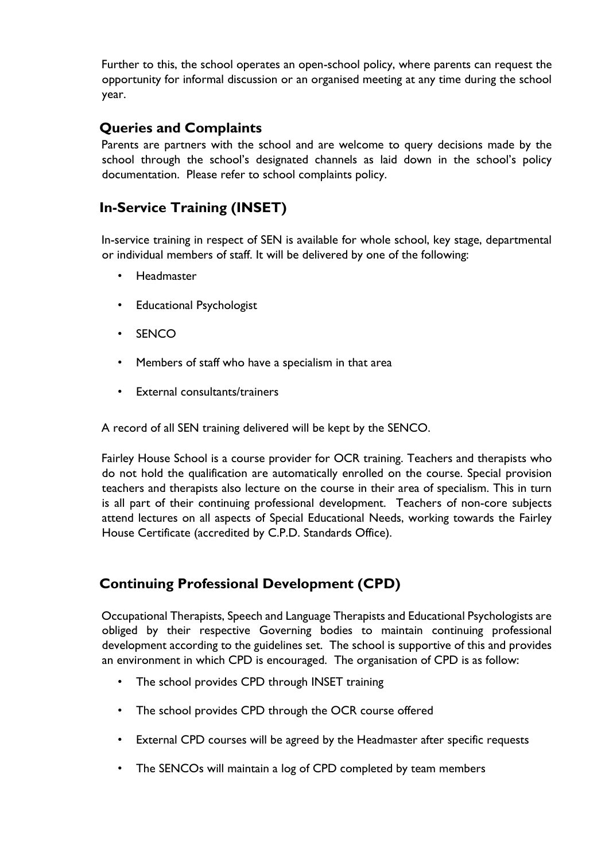Further to this, the school operates an open-school policy, where parents can request the opportunity for informal discussion or an organised meeting at any time during the school year.

# **Queries and Complaints**

Parents are partners with the school and are welcome to query decisions made by the school through the school's designated channels as laid down in the school's policy documentation. Please refer to school complaints policy.

# **In-Service Training (INSET)**

In-service training in respect of SEN is available for whole school, key stage, departmental or individual members of staff. It will be delivered by one of the following:

- Headmaster
- Educational Psychologist
- SENCO
- Members of staff who have a specialism in that area
- External consultants/trainers

A record of all SEN training delivered will be kept by the SENCO.

Fairley House School is a course provider for OCR training. Teachers and therapists who do not hold the qualification are automatically enrolled on the course. Special provision teachers and therapists also lecture on the course in their area of specialism. This in turn is all part of their continuing professional development. Teachers of non-core subjects attend lectures on all aspects of Special Educational Needs, working towards the Fairley House Certificate (accredited by C.P.D. Standards Office).

# **Continuing Professional Development (CPD)**

Occupational Therapists, Speech and Language Therapists and Educational Psychologists are obliged by their respective Governing bodies to maintain continuing professional development according to the guidelines set. The school is supportive of this and provides an environment in which CPD is encouraged. The organisation of CPD is as follow:

- The school provides CPD through INSET training
- The school provides CPD through the OCR course offered
- External CPD courses will be agreed by the Headmaster after specific requests
- The SENCOs will maintain a log of CPD completed by team members